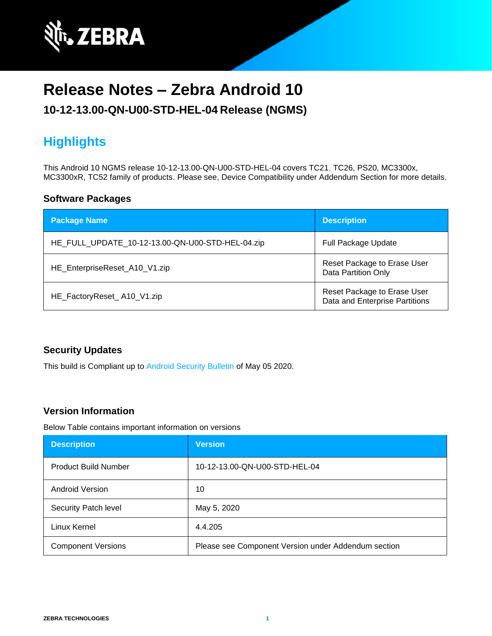

# **Release Notes – Zebra Android 10**

### **10-12-13.00-QN-U00-STD-HEL-04 Release (NGMS)**

# **Highlights**

This Android 10 NGMS release 10-12-13.00-QN-U00-STD-HEL-04 covers TC21, TC26, PS20, MC3300x, MC3300xR, TC52 family of products. Please see, Device Compatibility under Addendum Section for more details.

#### **Software Packages**

| <b>Package Name</b>                              | <b>Description</b>                                            |
|--------------------------------------------------|---------------------------------------------------------------|
| HE_FULL_UPDATE_10-12-13.00-QN-U00-STD-HEL-04.zip | <b>Full Package Update</b>                                    |
| HE_EnterpriseReset_A10_V1.zip                    | Reset Package to Erase User<br><b>Data Partition Only</b>     |
| HE_FactoryReset_A10_V1.zip                       | Reset Package to Erase User<br>Data and Enterprise Partitions |

#### **Security Updates**

This build is Compliant up to [Android Security Bulletin](https://source.android.com/security/bulletin/) of May 05 2020.

#### **Version Information**

Below Table contains important information on versions

| <b>Description</b>          | <b>Version</b>                                      |
|-----------------------------|-----------------------------------------------------|
| <b>Product Build Number</b> | 10-12-13.00-QN-U00-STD-HEL-04                       |
| Android Version             | 10                                                  |
| Security Patch level        | May 5, 2020                                         |
| Linux Kernel                | 4.4.205                                             |
| <b>Component Versions</b>   | Please see Component Version under Addendum section |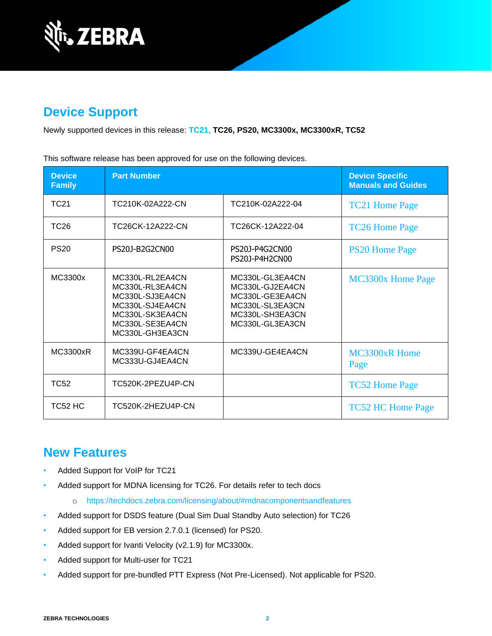

### **Device Support**

Newly supported devices in this release: **TC21, TC26, PS20, MC3300x, MC3300xR, TC52**

This software release has been approved for use on the following devices.

| <b>Device</b><br><b>Family</b> | <b>Part Number</b>                                                                                                                |                                                                                                                | <b>Device Specific</b><br><b>Manuals and Guides</b> |
|--------------------------------|-----------------------------------------------------------------------------------------------------------------------------------|----------------------------------------------------------------------------------------------------------------|-----------------------------------------------------|
| <b>TC21</b>                    | TC210K-02A222-CN                                                                                                                  | TC210K-02A222-04                                                                                               | <b>TC21 Home Page</b>                               |
| TC <sub>26</sub>               | TC26CK-12A222-CN                                                                                                                  | TC26CK-12A222-04                                                                                               | <b>TC26 Home Page</b>                               |
| <b>PS20</b>                    | PS20J-B2G2CN00                                                                                                                    | PS20J-P4G2CN00<br>PS20J-P4H2CN00                                                                               | <b>PS20 Home Page</b>                               |
| MC3300x                        | MC330L-RL2EA4CN<br>MC330L-RL3EA4CN<br>MC330L-SJ3EA4CN<br>MC330L-SJ4EA4CN<br>MC330L-SK3EA4CN<br>MC330L-SE3EA4CN<br>MC330L-GH3EA3CN | MC330L-GL3EA4CN<br>MC330L-GJ2EA4CN<br>MC330L-GE3EA4CN<br>MC330L-SL3EA3CN<br>MC330L-SH3EA3CN<br>MC330L-GL3EA3CN | <b>MC3300x Home Page</b>                            |
| <b>MC3300xR</b>                | MC339U-GF4EA4CN<br>MC333U-GJ4EA4CN                                                                                                | MC339U-GE4EA4CN                                                                                                | <b>MC3300xR Home</b><br>Page                        |
| TC52                           | TC520K-2PEZU4P-CN                                                                                                                 |                                                                                                                | <b>TC52 Home Page</b>                               |
| TC52 HC                        | TC520K-2HEZU4P-CN                                                                                                                 |                                                                                                                | <b>TC52 HC Home Page</b>                            |

#### **New Features**

- Added Support for VoIP for TC21
- Added support for MDNA licensing for TC26. For details refer to tech docs
	- o <https://techdocs.zebra.com/licensing/about/#mdnacomponentsandfeatures>
- Added support for DSDS feature (Dual Sim Dual Standby Auto selection) for TC26
- Added support for EB version 2.7.0.1 (licensed) for PS20.
- Added support for Ivanti Velocity (v2.1.9) for MC3300x.
- Added support for Multi-user for TC21
- Added support for pre-bundled PTT Express (Not Pre-Licensed). Not applicable for PS20.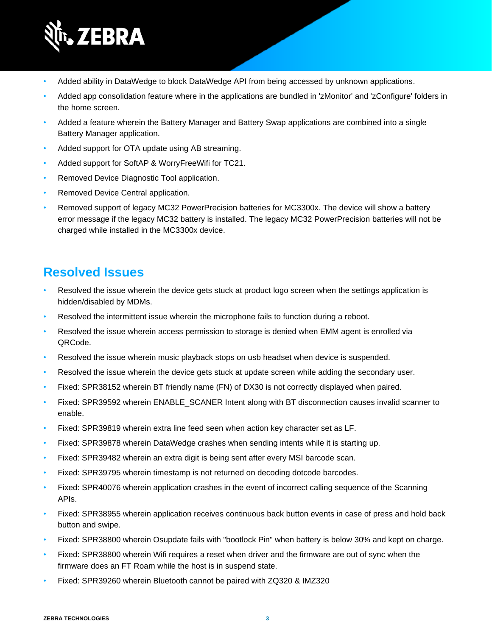

- Added ability in DataWedge to block DataWedge API from being accessed by unknown applications.
- Added app consolidation feature where in the applications are bundled in 'zMonitor' and 'zConfigure' folders in the home screen.
- Added a feature wherein the Battery Manager and Battery Swap applications are combined into a single Battery Manager application.
- Added support for OTA update using AB streaming.
- Added support for SoftAP & WorryFreeWifi for TC21.
- Removed Device Diagnostic Tool application.
- Removed Device Central application.
- Removed support of legacy MC32 PowerPrecision batteries for MC3300x. The device will show a battery error message if the legacy MC32 battery is installed. The legacy MC32 PowerPrecision batteries will not be charged while installed in the MC3300x device.

### **Resolved Issues**

- Resolved the issue wherein the device gets stuck at product logo screen when the settings application is hidden/disabled by MDMs.
- Resolved the intermittent issue wherein the microphone fails to function during a reboot.
- Resolved the issue wherein access permission to storage is denied when EMM agent is enrolled via QRCode.
- Resolved the issue wherein music playback stops on usb headset when device is suspended.
- Resolved the issue wherein the device gets stuck at update screen while adding the secondary user.
- Fixed: SPR38152 wherein BT friendly name (FN) of DX30 is not correctly displayed when paired.
- Fixed: SPR39592 wherein ENABLE\_SCANER Intent along with BT disconnection causes invalid scanner to enable.
- Fixed: SPR39819 wherein extra line feed seen when action key character set as LF.
- Fixed: SPR39878 wherein DataWedge crashes when sending intents while it is starting up.
- Fixed: SPR39482 wherein an extra digit is being sent after every MSI barcode scan.
- Fixed: SPR39795 wherein timestamp is not returned on decoding dotcode barcodes.
- Fixed: SPR40076 wherein application crashes in the event of incorrect calling sequence of the Scanning APIs.
- Fixed: SPR38955 wherein application receives continuous back button events in case of press and hold back button and swipe.
- Fixed: SPR38800 wherein Osupdate fails with "bootlock Pin" when battery is below 30% and kept on charge.
- Fixed: SPR38800 wherein Wifi requires a reset when driver and the firmware are out of sync when the firmware does an FT Roam while the host is in suspend state.
- Fixed: SPR39260 wherein Bluetooth cannot be paired with ZQ320 & IMZ320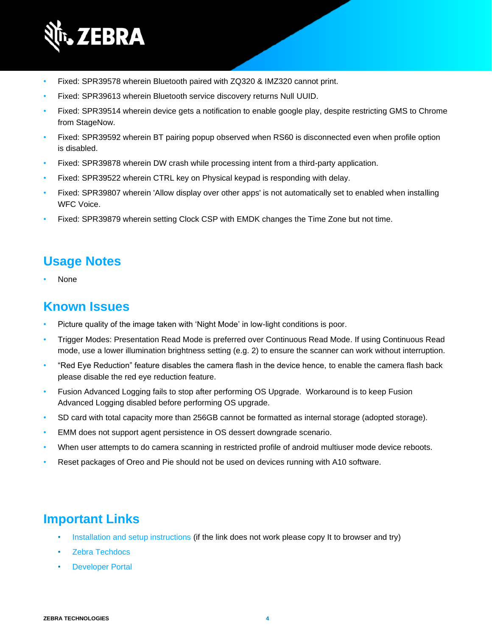

- Fixed: SPR39578 wherein Bluetooth paired with ZQ320 & IMZ320 cannot print.
- Fixed: SPR39613 wherein Bluetooth service discovery returns Null UUID.
- Fixed: SPR39514 wherein device gets a notification to enable google play, despite restricting GMS to Chrome from StageNow.
- Fixed: SPR39592 wherein BT pairing popup observed when RS60 is disconnected even when profile option is disabled.
- Fixed: SPR39878 wherein DW crash while processing intent from a third-party application.
- Fixed: SPR39522 wherein CTRL key on Physical keypad is responding with delay.
- Fixed: SPR39807 wherein 'Allow display over other apps' is not automatically set to enabled when installing WFC Voice.
- Fixed: SPR39879 wherein setting Clock CSP with EMDK changes the Time Zone but not time.

#### **Usage Notes**

• None

#### **Known Issues**

- Picture quality of the image taken with 'Night Mode' in low-light conditions is poor.
- Trigger Modes: Presentation Read Mode is preferred over Continuous Read Mode. If using Continuous Read mode, use a lower illumination brightness setting (e.g. 2) to ensure the scanner can work without interruption.
- "Red Eye Reduction" feature disables the camera flash in the device hence, to enable the camera flash back please disable the red eye reduction feature.
- Fusion Advanced Logging fails to stop after performing OS Upgrade. Workaround is to keep Fusion Advanced Logging disabled before performing OS upgrade.
- SD card with total capacity more than 256GB cannot be formatted as internal storage (adopted storage).
- EMM does not support agent persistence in OS dessert downgrade scenario.
- When user attempts to do camera scanning in restricted profile of android multiuser mode device reboots.
- Reset packages of Oreo and Pie should not be used on devices running with A10 software.

### **Important Links**

- [Installation and setup instructions](https://www.zebra.com/content/dam/zebra_new_ia/en-us/software/operating-system/helios/a10-os-update-instructions.pdf) (if the link does not work please copy It to browser and try)
- [Zebra Techdocs](http://techdocs.zebra.com/)
- **[Developer Portal](http://developer.zebra.com/)**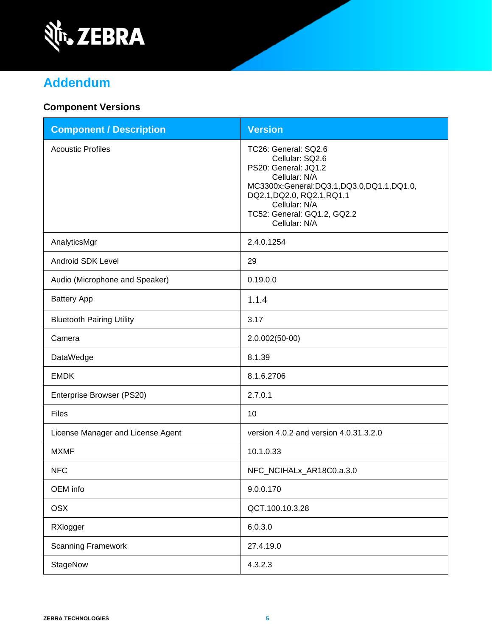

# **Addendum**

### **Component Versions**

| <b>Component / Description</b>    | <b>Version</b>                                                                                                                                                                                                              |
|-----------------------------------|-----------------------------------------------------------------------------------------------------------------------------------------------------------------------------------------------------------------------------|
| <b>Acoustic Profiles</b>          | TC26: General: SQ2.6<br>Cellular: SQ2.6<br>PS20: General: JQ1.2<br>Cellular: N/A<br>MC3300x:General:DQ3.1,DQ3.0,DQ1.1,DQ1.0,<br>DQ2.1, DQ2.0, RQ2.1, RQ1.1<br>Cellular: N/A<br>TC52: General: GQ1.2, GQ2.2<br>Cellular: N/A |
| AnalyticsMgr                      | 2.4.0.1254                                                                                                                                                                                                                  |
| Android SDK Level                 | 29                                                                                                                                                                                                                          |
| Audio (Microphone and Speaker)    | 0.19.0.0                                                                                                                                                                                                                    |
| <b>Battery App</b>                | 1.1.4                                                                                                                                                                                                                       |
| <b>Bluetooth Pairing Utility</b>  | 3.17                                                                                                                                                                                                                        |
| Camera                            | 2.0.002(50-00)                                                                                                                                                                                                              |
| DataWedge                         | 8.1.39                                                                                                                                                                                                                      |
| <b>EMDK</b>                       | 8.1.6.2706                                                                                                                                                                                                                  |
| Enterprise Browser (PS20)         | 2.7.0.1                                                                                                                                                                                                                     |
| Files                             | 10                                                                                                                                                                                                                          |
| License Manager and License Agent | version 4.0.2 and version 4.0.31.3.2.0                                                                                                                                                                                      |
| <b>MXMF</b>                       | 10.1.0.33                                                                                                                                                                                                                   |
| <b>NFC</b>                        | NFC_NCIHALx_AR18C0.a.3.0                                                                                                                                                                                                    |
| OEM info                          | 9.0.0.170                                                                                                                                                                                                                   |
| <b>OSX</b>                        | QCT.100.10.3.28                                                                                                                                                                                                             |
| RXlogger                          | 6.0.3.0                                                                                                                                                                                                                     |
| <b>Scanning Framework</b>         | 27.4.19.0                                                                                                                                                                                                                   |
| StageNow                          | 4.3.2.3                                                                                                                                                                                                                     |